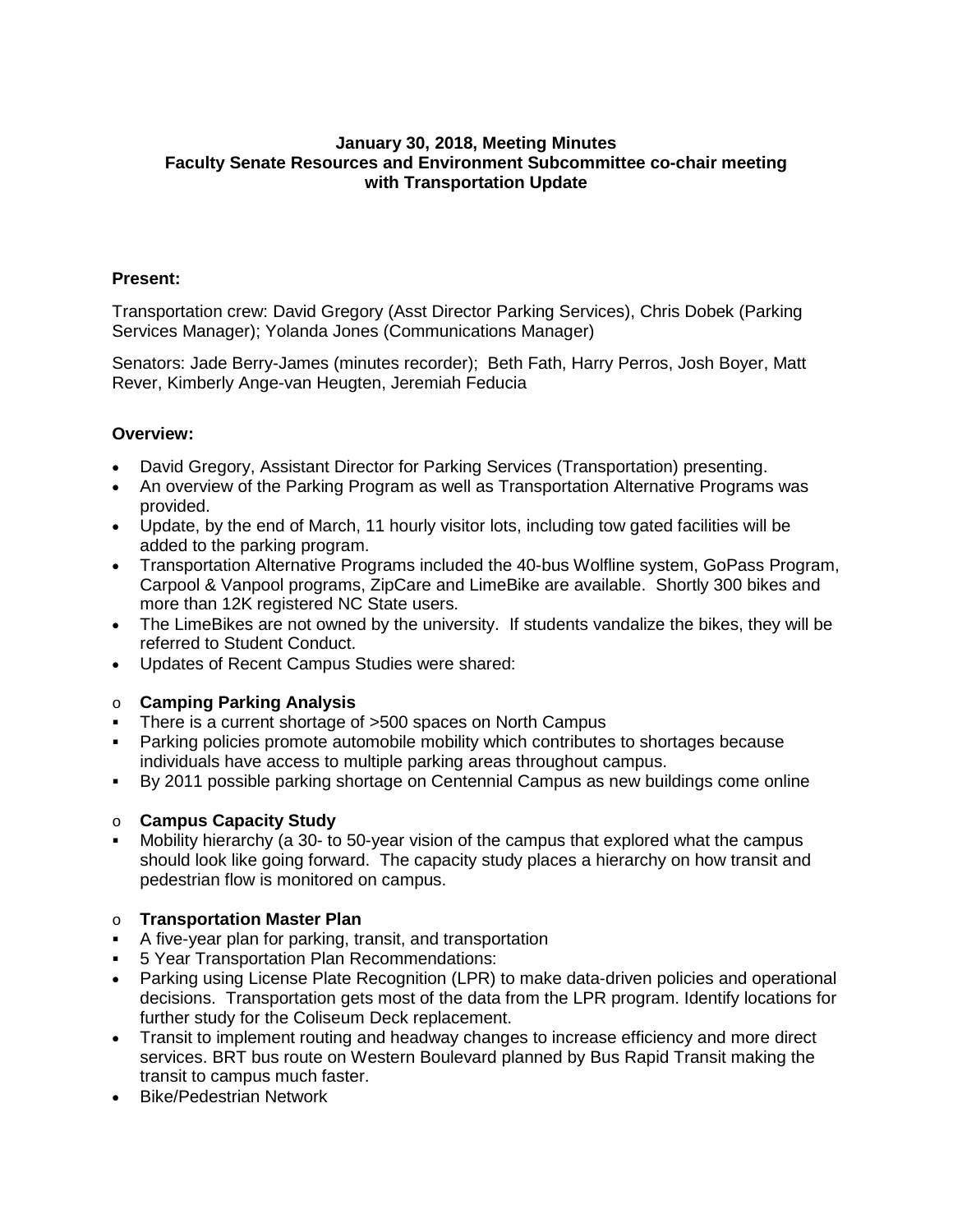# **January 30, 2018, Meeting Minutes Faculty Senate Resources and Environment Subcommittee co-chair meeting with Transportation Update**

## **Present:**

Transportation crew: David Gregory (Asst Director Parking Services), Chris Dobek (Parking Services Manager); Yolanda Jones (Communications Manager)

Senators: Jade Berry-James (minutes recorder); Beth Fath, Harry Perros, Josh Boyer, Matt Rever, Kimberly Ange-van Heugten, Jeremiah Feducia

#### **Overview:**

- David Gregory, Assistant Director for Parking Services (Transportation) presenting.
- An overview of the Parking Program as well as Transportation Alternative Programs was provided.
- Update, by the end of March, 11 hourly visitor lots, including tow gated facilities will be added to the parking program.
- Transportation Alternative Programs included the 40-bus Wolfline system, GoPass Program, Carpool & Vanpool programs, ZipCare and LimeBike are available. Shortly 300 bikes and more than 12K registered NC State users.
- The LimeBikes are not owned by the university. If students vandalize the bikes, they will be referred to Student Conduct.
- Updates of Recent Campus Studies were shared:

# o **Camping Parking Analysis**

- There is a current shortage of >500 spaces on North Campus
- Parking policies promote automobile mobility which contributes to shortages because individuals have access to multiple parking areas throughout campus.
- By 2011 possible parking shortage on Centennial Campus as new buildings come online

#### o **Campus Capacity Study**

 Mobility hierarchy (a 30- to 50-year vision of the campus that explored what the campus should look like going forward. The capacity study places a hierarchy on how transit and pedestrian flow is monitored on campus.

# o **Transportation Master Plan**

- A five-year plan for parking, transit, and transportation
- 5 Year Transportation Plan Recommendations:
- Parking using License Plate Recognition (LPR) to make data-driven policies and operational decisions. Transportation gets most of the data from the LPR program. Identify locations for further study for the Coliseum Deck replacement.
- Transit to implement routing and headway changes to increase efficiency and more direct services. BRT bus route on Western Boulevard planned by Bus Rapid Transit making the transit to campus much faster.
- Bike/Pedestrian Network